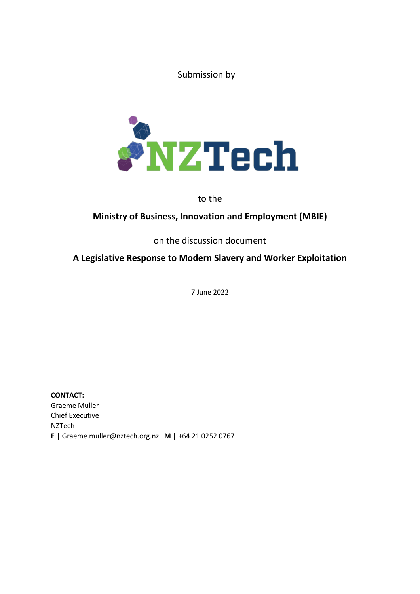Submission by



to the

# **Ministry of Business, Innovation and Employment (MBIE)**

on the discussion document

# **A Legislative Response to Modern Slavery and Worker Exploitation**

7 June 2022

**CONTACT:** Graeme Muller Chief Executive NZTech **E |** Graeme.muller@nztech.org.nz **M |** +64 21 0252 0767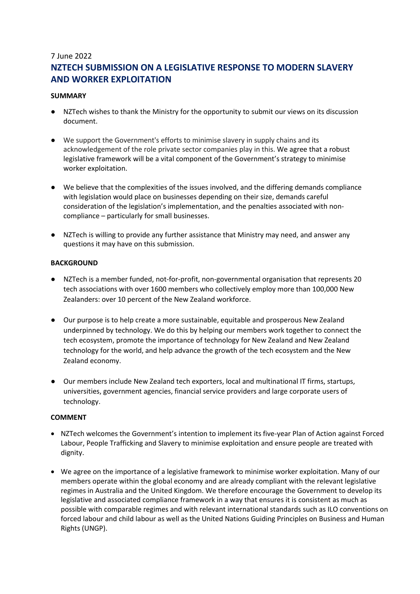## 7 June 2022 **NZTECH SUBMISSION ON A LEGISLATIVE RESPONSE TO MODERN SLAVERY AND WORKER EXPLOITATION**

### **SUMMARY**

- NZTech wishes to thank the Ministry for the opportunity to submit our views on its discussion document.
- We support the Government's efforts to minimise slavery in supply chains and its acknowledgement of the role private sector companies play in this. We agree that a robust legislative framework will be a vital component of the Government's strategy to minimise worker exploitation.
- We believe that the complexities of the issues involved, and the differing demands compliance with legislation would place on businesses depending on their size, demands careful consideration of the legislation's implementation, and the penalties associated with noncompliance – particularly for small businesses.
- NZTech is willing to provide any further assistance that Ministry may need, and answer any questions it may have on this submission.

### **BACKGROUND**

- NZTech is a member funded, not-for-profit, non-governmental organisation that represents 20 tech associations with over 1600 members who collectively employ more than 100,000 New Zealanders: over 10 percent of the New Zealand workforce.
- Our purpose is to help create a more sustainable, equitable and prosperous New Zealand underpinned by technology. We do this by helping our members work together to connect the tech ecosystem, promote the importance of technology for New Zealand and New Zealand technology for the world, and help advance the growth of the tech ecosystem and the New Zealand economy.
- Our members include New Zealand tech exporters, local and multinational IT firms, startups, universities, government agencies, financial service providers and large corporate users of technology.

#### **COMMENT**

- NZTech welcomes the Government's intention to implement its five-year Plan of Action against Forced Labour, People Trafficking and Slavery to minimise exploitation and ensure people are treated with dignity.
- We agree on the importance of a legislative framework to minimise worker exploitation. Many of our members operate within the global economy and are already compliant with the relevant legislative regimes in Australia and the United Kingdom. We therefore encourage the Government to develop its legislative and associated compliance framework in a way that ensures it is consistent as much as possible with comparable regimes and with relevant international standards such as ILO conventions on forced labour and child labour as well as the United Nations Guiding Principles on Business and Human Rights (UNGP).